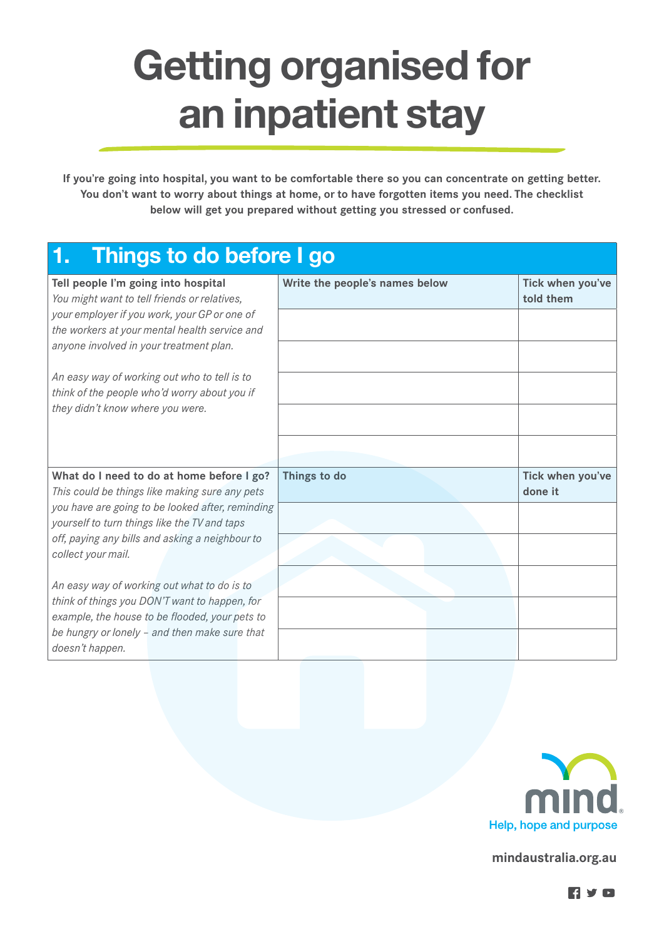## Getting organised for an inpatient stay

**If you're going into hospital, you want to be comfortable there so you can concentrate on getting better. You don't want to worry about things at home, or to have forgotten items you need. The checklist below will get you prepared without getting you stressed or confused.**

## 1. Things to do before I go

| Tell people I'm going into hospital<br>You might want to tell friends or relatives,             | Write the people's names below | Tick when you've<br>told them |
|-------------------------------------------------------------------------------------------------|--------------------------------|-------------------------------|
| your employer if you work, your GP or one of<br>the workers at your mental health service and   |                                |                               |
| anyone involved in your treatment plan.                                                         |                                |                               |
| An easy way of working out who to tell is to                                                    |                                |                               |
| think of the people who'd worry about you if                                                    |                                |                               |
| they didn't know where you were.                                                                |                                |                               |
|                                                                                                 |                                |                               |
| What do I need to do at home before I go?<br>This could be things like making sure any pets     | Things to do                   | Tick when you've<br>done it   |
| you have are going to be looked after, reminding                                                |                                |                               |
| yourself to turn things like the TV and taps                                                    |                                |                               |
| off, paying any bills and asking a neighbour to<br>collect your mail.                           |                                |                               |
| An easy way of working out what to do is to                                                     |                                |                               |
| think of things you DON'T want to happen, for<br>example, the house to be flooded, your pets to |                                |                               |
| be hungry or lonely - and then make sure that<br>doesn't happen.                                |                                |                               |



**mindaustralia.org.au**

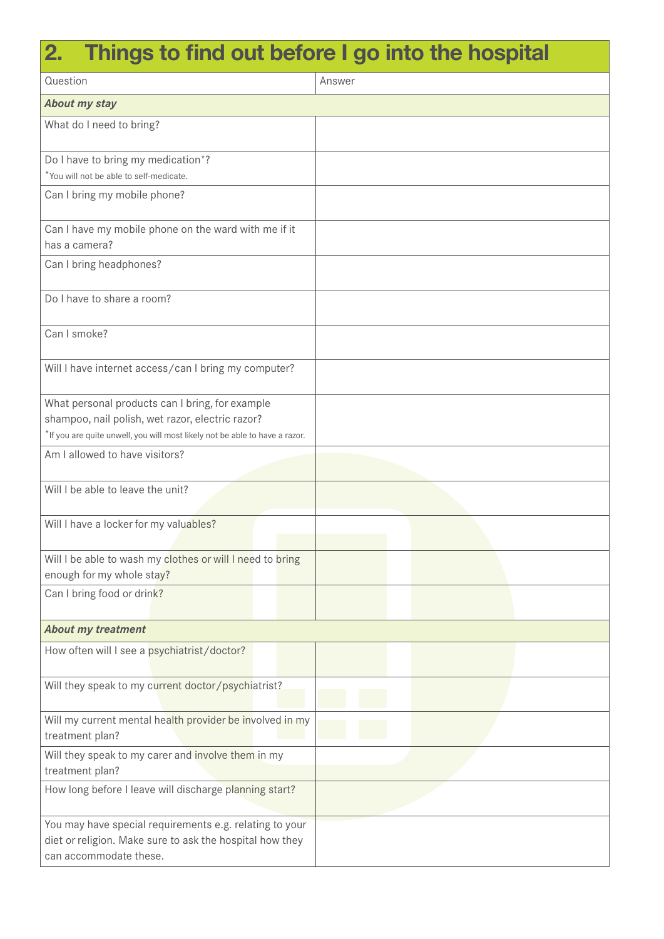## 2. Things to find out before I go into the hospital

| Question                                                                                                                                                                           | Answer |  |  |
|------------------------------------------------------------------------------------------------------------------------------------------------------------------------------------|--------|--|--|
| <b>About my stay</b>                                                                                                                                                               |        |  |  |
| What do I need to bring?                                                                                                                                                           |        |  |  |
| Do I have to bring my medication*?<br>*You will not be able to self-medicate.                                                                                                      |        |  |  |
| Can I bring my mobile phone?                                                                                                                                                       |        |  |  |
| Can I have my mobile phone on the ward with me if it<br>has a camera?                                                                                                              |        |  |  |
| Can I bring headphones?                                                                                                                                                            |        |  |  |
| Do I have to share a room?                                                                                                                                                         |        |  |  |
| Can I smoke?                                                                                                                                                                       |        |  |  |
| Will I have internet access/can I bring my computer?                                                                                                                               |        |  |  |
| What personal products can I bring, for example<br>shampoo, nail polish, wet razor, electric razor?<br>*If you are quite unwell, you will most likely not be able to have a razor. |        |  |  |
| Am I allowed to have visitors?                                                                                                                                                     |        |  |  |
| Will I be able to leave the unit?                                                                                                                                                  |        |  |  |
| Will I have a locker for my valuables?                                                                                                                                             |        |  |  |
| Will I be able to wash my clothes or will I need to bring<br>enough for my whole stay?                                                                                             |        |  |  |
| Can I bring food or drink?                                                                                                                                                         |        |  |  |
| <b>About my treatment</b>                                                                                                                                                          |        |  |  |
| How often will I see a psychiatrist/doctor?                                                                                                                                        |        |  |  |
| Will they speak to my current doctor/psychiatrist?                                                                                                                                 |        |  |  |
| Will my current mental health provider be involved in my<br>treatment plan?                                                                                                        |        |  |  |
| Will they speak to my carer and involve them in my<br>treatment plan?                                                                                                              |        |  |  |
| How long before I leave will discharge planning start?                                                                                                                             |        |  |  |
| You may have special requirements e.g. relating to your<br>diet or religion. Make sure to ask the hospital how they<br>can accommodate these.                                      |        |  |  |